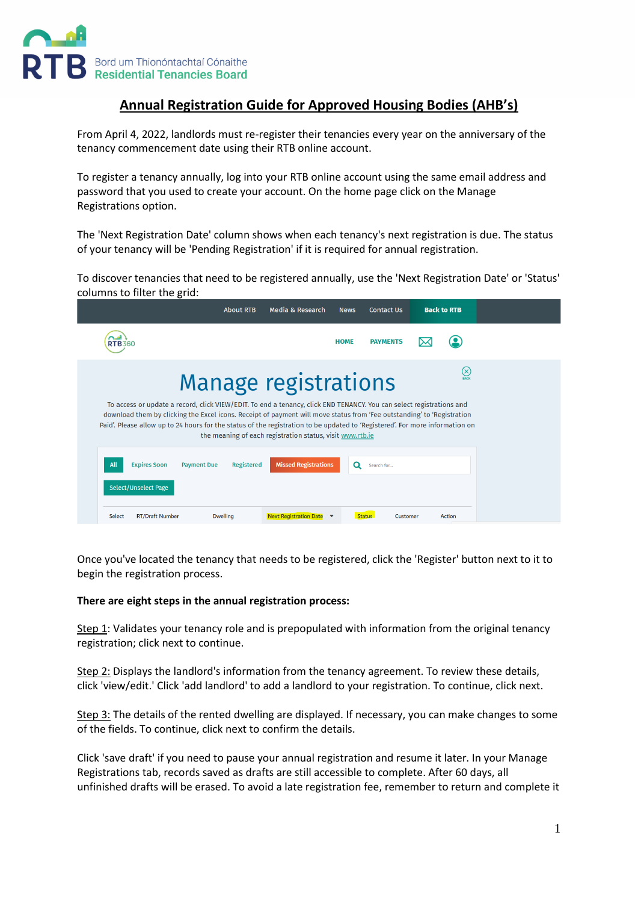

## **Annual Registration Guide for Approved Housing Bodies (AHB's)**

From April 4, 2022, landlords must re-register their tenancies every year on the anniversary of the tenancy commencement date using their RTB online account.

To register a tenancy annually, log into your RTB online account using the same email address and password that you used to create your account. On the home page click on the Manage Registrations option.

The 'Next Registration Date' column shows when each tenancy's next registration is due. The status of your tenancy will be 'Pending Registration' if it is required for annual registration.

To discover tenancies that need to be registered annually, use the 'Next Registration Date' or 'Status' columns to filter the grid:

|                                                                                                                                                                                                                                                                                                                                                                                                                                             | <b>About RTB</b>                        | Media & Research              | <b>News</b> | <b>Contact Us</b>         |  | <b>Back to RTB</b> |  |
|---------------------------------------------------------------------------------------------------------------------------------------------------------------------------------------------------------------------------------------------------------------------------------------------------------------------------------------------------------------------------------------------------------------------------------------------|-----------------------------------------|-------------------------------|-------------|---------------------------|--|--------------------|--|
| <b>RTB360</b>                                                                                                                                                                                                                                                                                                                                                                                                                               |                                         |                               | <b>HOME</b> | <b>PAYMENTS</b>           |  |                    |  |
|                                                                                                                                                                                                                                                                                                                                                                                                                                             | <b>Manage registrations</b>             |                               |             |                           |  | $(\times)$         |  |
| To access or update a record, click VIEW/EDIT. To end a tenancy, click END TENANCY. You can select registrations and<br>download them by clicking the Excel icons. Receipt of payment will move status from 'Fee outstanding' to 'Registration<br>Paid'. Please allow up to 24 hours for the status of the registration to be updated to 'Registered'. For more information on<br>the meaning of each registration status, visit www.rtb.ie |                                         |                               |             |                           |  |                    |  |
| All<br><b>Expires Soon</b>                                                                                                                                                                                                                                                                                                                                                                                                                  | <b>Registered</b><br><b>Payment Due</b> | <b>Missed Registrations</b>   | Q           | Search for                |  |                    |  |
| <b>Select/Unselect Page</b>                                                                                                                                                                                                                                                                                                                                                                                                                 |                                         |                               |             |                           |  |                    |  |
| Select<br><b>RT/Draft Number</b>                                                                                                                                                                                                                                                                                                                                                                                                            | <b>Dwelling</b>                         | <b>Next Registration Date</b> |             | Customer<br><b>Status</b> |  | Action             |  |

Once you've located the tenancy that needs to be registered, click the 'Register' button next to it to begin the registration process.

### **There are eight steps in the annual registration process:**

Step 1: Validates your tenancy role and is prepopulated with information from the original tenancy registration; click next to continue.

Step 2: Displays the landlord's information from the tenancy agreement. To review these details, click 'view/edit.' Click 'add landlord' to add a landlord to your registration. To continue, click next.

Step 3: The details of the rented dwelling are displayed. If necessary, you can make changes to some of the fields. To continue, click next to confirm the details.

Click 'save draft' if you need to pause your annual registration and resume it later. In your Manage Registrations tab, records saved as drafts are still accessible to complete. After 60 days, all unfinished drafts will be erased. To avoid a late registration fee, remember to return and complete it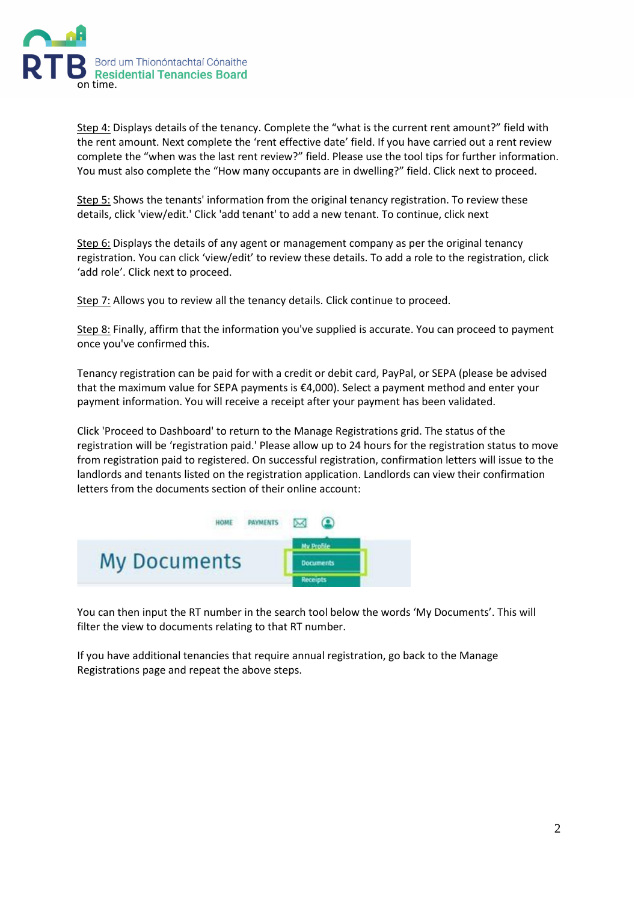

Step 4: Displays details of the tenancy. Complete the "what is the current rent amount?" field with the rent amount. Next complete the 'rent effective date' field. If you have carried out a rent review complete the "when was the last rent review?" field. Please use the tool tips for further information. You must also complete the "How many occupants are in dwelling?" field. Click next to proceed.

Step 5: Shows the tenants' information from the original tenancy registration. To review these details, click 'view/edit.' Click 'add tenant' to add a new tenant. To continue, click next

Step 6: Displays the details of any agent or management company as per the original tenancy registration. You can click 'view/edit' to review these details. To add a role to the registration, click 'add role'. Click next to proceed.

Step 7: Allows you to review all the tenancy details. Click continue to proceed.

Step 8: Finally, affirm that the information you've supplied is accurate. You can proceed to payment once you've confirmed this.

Tenancy registration can be paid for with a credit or debit card, PayPal, or SEPA (please be advised that the maximum value for SEPA payments is €4,000). Select a payment method and enter your payment information. You will receive a receipt after your payment has been validated.

Click 'Proceed to Dashboard' to return to the Manage Registrations grid. The status of the registration will be 'registration paid.' Please allow up to 24 hours for the registration status to move from registration paid to registered. On successful registration, confirmation letters will issue to the landlords and tenants listed on the registration application. Landlords can view their confirmation letters from the documents section of their online account:



You can then input the RT number in the search tool below the words 'My Documents'. This will filter the view to documents relating to that RT number.

If you have additional tenancies that require annual registration, go back to the Manage Registrations page and repeat the above steps.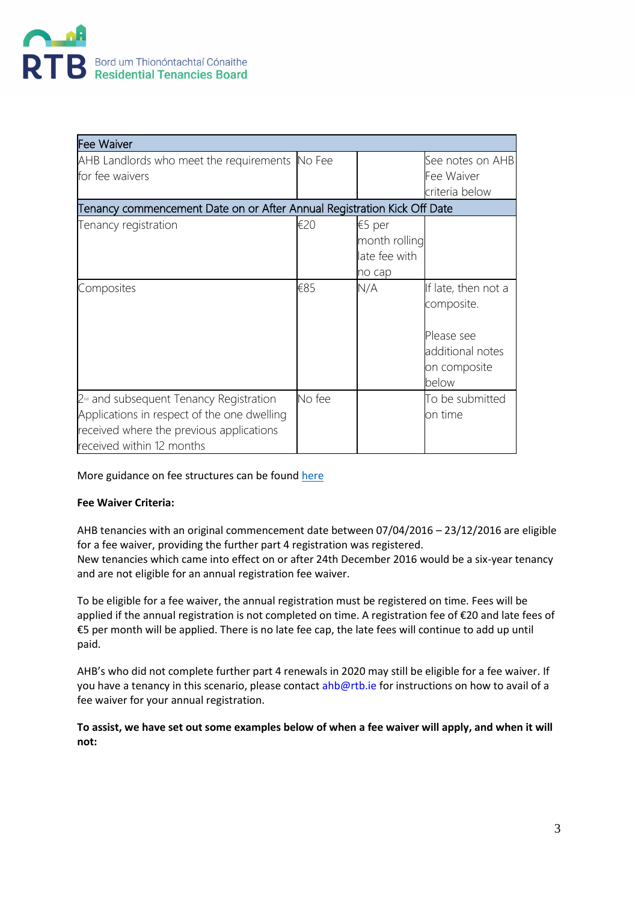

| <b>Fee Waiver</b>                                                       |        |               |                     |
|-------------------------------------------------------------------------|--------|---------------|---------------------|
| AHB Landlords who meet the requirements No Fee                          |        |               | See notes on AHB    |
| for fee waivers                                                         |        |               | Fee Waiver          |
|                                                                         |        |               | criteria below      |
| Tenancy commencement Date on or After Annual Registration Kick Off Date |        |               |                     |
| Tenancy registration                                                    | €20    | €5 per        |                     |
|                                                                         |        | month rolling |                     |
|                                                                         |        | late fee with |                     |
|                                                                         |        | no cap        |                     |
| Composites                                                              | €85    | N/A           | If late, then not a |
|                                                                         |        |               | composite.          |
|                                                                         |        |               | Please see          |
|                                                                         |        |               | additional notes    |
|                                                                         |        |               | on composite        |
|                                                                         |        |               | below               |
| 2 <sup>nd</sup> and subsequent Tenancy Registration                     | No fee |               | To be submitted     |
| Applications in respect of the one dwelling                             |        |               | on time             |
| received where the previous applications                                |        |               |                     |
| received within 12 months                                               |        |               |                     |

### More guidance on fee structures can be foun[d here](https://www.rtb.ie/register-a-tenancy/registration-fees)

### **Fee Waiver Criteria:**

AHB tenancies with an original commencement date between 07/04/2016 – 23/12/2016 are eligible for a fee waiver, providing the further part 4 registration was registered. New tenancies which came into effect on or after 24th December 2016 would be a six-year tenancy and are not eligible for an annual registration fee waiver.

To be eligible for a fee waiver, the annual registration must be registered on time. Fees will be applied if the annual registration is not completed on time. A registration fee of €20 and late fees of €5 per month will be applied. There is no late fee cap, the late fees will continue to add up until paid.

AHB's who did not complete further part 4 renewals in 2020 may still be eligible for a fee waiver. If you have a tenancy in this scenario, please contac[t ahb@rtb.ie](mailto:ahb@rtb.ie) for instructions on how to avail of a fee waiver for your annual registration. 

**To assist, we have set out some examples below of when a fee waiver will apply, and when it will not:**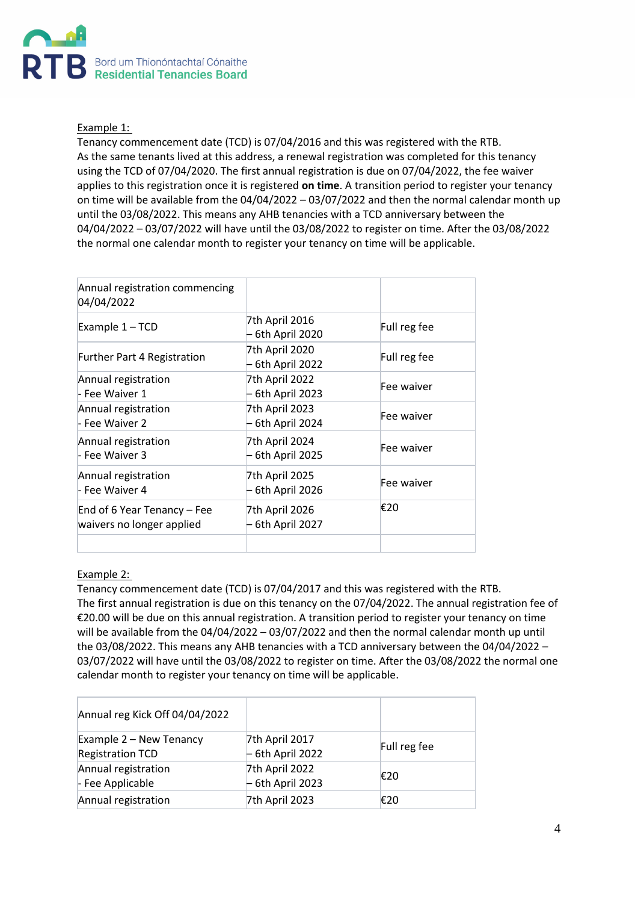

### Example 1:

Tenancy commencement date (TCD) is 07/04/2016 and this was registered with the RTB. As the same tenants lived at this address, a renewal registration was completed for this tenancy using the TCD of 07/04/2020. The first annual registration is due on 07/04/2022, the fee waiver applies to this registration once it is registered **on time**. A transition period to register your tenancy on time will be available from the 04/04/2022 – 03/07/2022 and then the normal calendar month up until the 03/08/2022. This means any AHB tenancies with a TCD anniversary between the 04/04/2022 – 03/07/2022 will have until the 03/08/2022 to register on time. After the 03/08/2022 the normal one calendar month to register your tenancy on time will be applicable.

| Annual registration commencing<br>04/04/2022             |                                  |              |
|----------------------------------------------------------|----------------------------------|--------------|
| Example 1 - TCD                                          | 7th April 2016<br>6th April 2020 | Full reg fee |
| <b>Further Part 4 Registration</b>                       | 7th April 2020<br>6th April 2022 | Full reg fee |
| Annual registration<br>- Fee Waiver 1                    | 7th April 2022<br>6th April 2023 | Fee waiver   |
| Annual registration<br>- Fee Waiver 2                    | 7th April 2023<br>6th April 2024 | Fee waiver   |
| Annual registration<br>- Fee Waiver 3                    | 7th April 2024<br>6th April 2025 | Fee waiver   |
| Annual registration<br>- Fee Waiver 4                    | 7th April 2025<br>6th April 2026 | Fee waiver   |
| End of 6 Year Tenancy - Fee<br>waivers no longer applied | 7th April 2026<br>6th April 2027 | €20          |
|                                                          |                                  |              |

### Example 2:

Tenancy commencement date (TCD) is 07/04/2017 and this was registered with the RTB. The first annual registration is due on this tenancy on the 07/04/2022. The annual registration fee of €20.00 will be due on this annual registration. A transition period to register your tenancy on time will be available from the 04/04/2022 – 03/07/2022 and then the normal calendar month up until the 03/08/2022. This means any AHB tenancies with a TCD anniversary between the 04/04/2022 – 03/07/2022 will have until the 03/08/2022 to register on time. After the 03/08/2022 the normal one calendar month to register your tenancy on time will be applicable.

| Annual reg Kick Off 04/04/2022                     |                                     |              |
|----------------------------------------------------|-------------------------------------|--------------|
| Example 2 – New Tenancy<br><b>Registration TCD</b> | 7th April 2017<br>$-6th$ April 2022 | Full reg fee |
| Annual registration<br>- Fee Applicable            | 7th April 2022<br>$-6th$ April 2023 | €20          |
| Annual registration                                | 7th April 2023                      | €20          |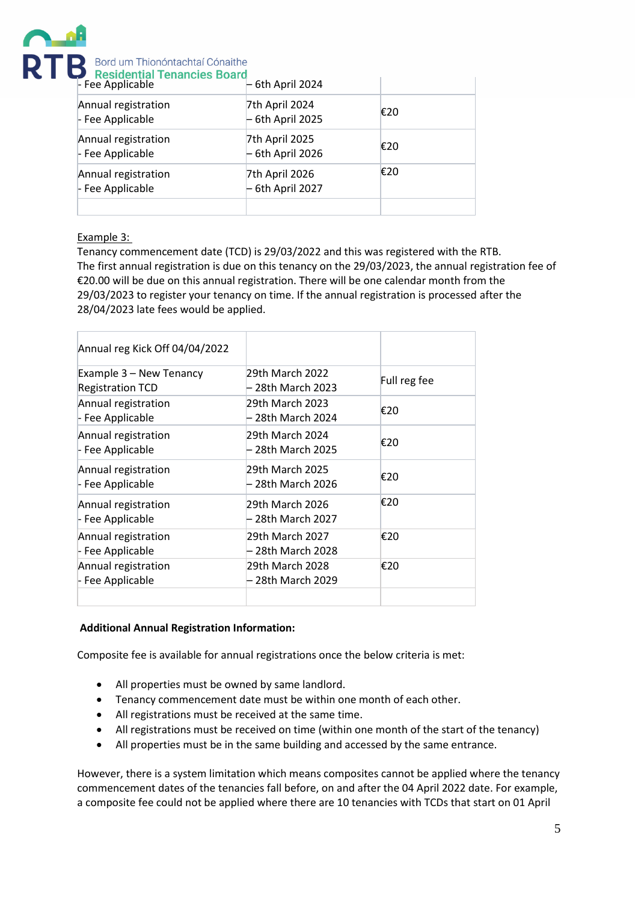

# **RTR** Bord um Thionóntachtaí Cónaithe

| Residential Tenancies Board<br>- Fee Applicable | - 6th April 2024                    |     |
|-------------------------------------------------|-------------------------------------|-----|
| Annual registration<br>- Fee Applicable         | 7th April 2024<br>$-6th$ April 2025 | €20 |
| Annual registration<br>- Fee Applicable         | 7th April 2025<br>$-6th$ April 2026 | €20 |
| Annual registration<br>- Fee Applicable         | 7th April 2026<br>$-6th$ April 2027 | €20 |
|                                                 |                                     |     |

### Example 3:

Tenancy commencement date (TCD) is 29/03/2022 and this was registered with the RTB. The first annual registration is due on this tenancy on the 29/03/2023, the annual registration fee of €20.00 will be due on this annual registration. There will be one calendar month from the 29/03/2023 to register your tenancy on time. If the annual registration is processed after the 28/04/2023 late fees would be applied.

| Annual reg Kick Off 04/04/2022                     |                                      |              |
|----------------------------------------------------|--------------------------------------|--------------|
| Example 3 - New Tenancy<br><b>Registration TCD</b> | 29th March 2022<br>– 28th March 2023 | Full reg fee |
| Annual registration<br>- Fee Applicable            | 29th March 2023<br>– 28th March 2024 | €20          |
| Annual registration<br>- Fee Applicable            | 29th March 2024<br>28th March 2025   | €20          |
| Annual registration<br>- Fee Applicable            | 29th March 2025<br>28th March 2026   | €20          |
| Annual registration<br>- Fee Applicable            | 29th March 2026<br>28th March 2027   | €20          |
| Annual registration<br>- Fee Applicable            | 29th March 2027<br>– 28th March 2028 | €20          |
| Annual registration<br>- Fee Applicable            | 29th March 2028<br>– 28th March 2029 | €20          |
|                                                    |                                      |              |

### **Additional Annual Registration Information:**

Composite fee is available for annual registrations once the below criteria is met:

- All properties must be owned by same landlord.
- Tenancy commencement date must be within one month of each other.
- All registrations must be received at the same time.
- All registrations must be received on time (within one month of the start of the tenancy)
- All properties must be in the same building and accessed by the same entrance.

However, there is a system limitation which means composites cannot be applied where the tenancy commencement dates of the tenancies fall before, on and after the 04 April 2022 date. For example, a composite fee could not be applied where there are 10 tenancies with TCDs that start on 01 April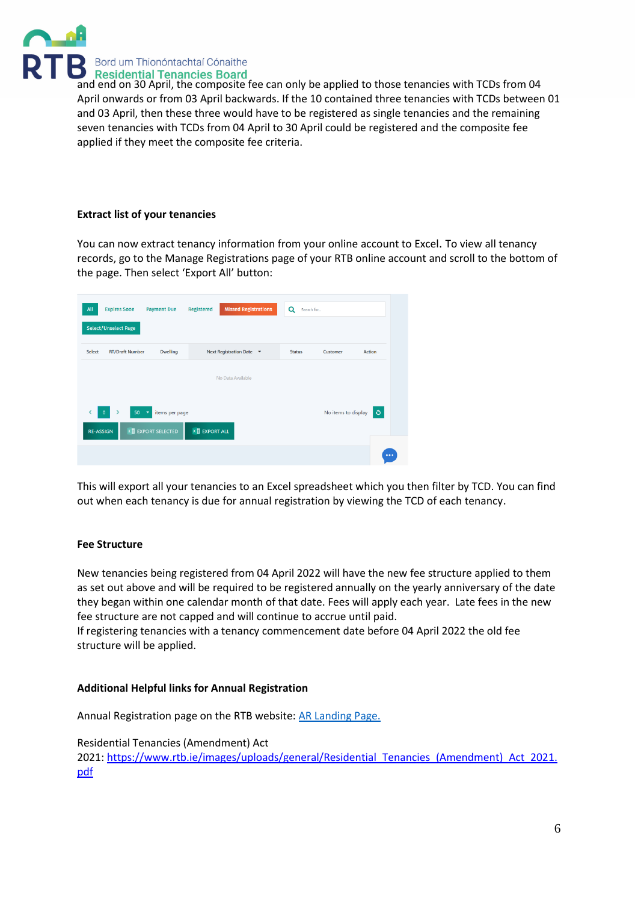

**ANUS** Bord um Thionóntachtaí Cónaithe<br>and end on 30 April, the composite fee can only be applied to those tenancies with TCDs from 04 April onwards or from 03 April backwards. If the 10 contained three tenancies with TCDs between 01 and 03 April, then these three would have to be registered as single tenancies and the remaining seven tenancies with TCDs from 04 April to 30 April could be registered and the composite fee applied if they meet the composite fee criteria.

### **Extract list of your tenancies**

You can now extract tenancy information from your online account to Excel. To view all tenancy records, go to the Manage Registrations page of your RTB online account and scroll to the bottom of the page. Then select 'Export All' button:

| All                             | <b>Expires Soon</b><br><b>Select/Unselect Page</b> | <b>Payment Due</b>                                         | <b>Registered</b>       | <b>Missed Registrations</b> | Q<br>Search for |                     |          |
|---------------------------------|----------------------------------------------------|------------------------------------------------------------|-------------------------|-----------------------------|-----------------|---------------------|----------|
| Select                          | <b>RT/Draft Number</b>                             | <b>Dwelling</b>                                            |                         | Next Registration Date ▼    | <b>Status</b>   | Customer            | Action   |
|                                 |                                                    |                                                            |                         | No Data Available           |                 |                     |          |
| $\mathbf 0$<br><b>RE-ASSIGN</b> | 50                                                 | items per page<br>$\mathbf{v}$<br><b>x EXPORT SELECTED</b> | $x \nexists$ EXPORT ALL |                             |                 | No items to display | $\circ$  |
|                                 |                                                    |                                                            |                         |                             |                 |                     | $\cdots$ |

This will export all your tenancies to an Excel spreadsheet which you then filter by TCD. You can find out when each tenancy is due for annual registration by viewing the TCD of each tenancy.

### **Fee Structure**

New tenancies being registered from 04 April 2022 will have the new fee structure applied to them as set out above and will be required to be registered annually on the yearly anniversary of the date they began within one calendar month of that date. Fees will apply each year. Late fees in the new fee structure are not capped and will continue to accrue until paid.

If registering tenancies with a tenancy commencement date before 04 April 2022 the old fee structure will be applied.

### **Additional Helpful links for Annual Registration**

Annual Registration page on the RTB website[: AR Landing Page.](https://eur04.safelinks.protection.outlook.com/?url=https%3A%2F%2Fwww.rtb.ie%2Fannual-registration&data=04%7C01%7CGillian.MacGann%40rtb.ie%7Cb095ed586f0c46270d2f08da118b8645%7Cf8f7e24b3e5b49ecbbc337d638d4f68d%7C0%7C0%7C637841588216734730%7CUnknown%7CTWFpbGZsb3d8eyJWIjoiMC4wLjAwMDAiLCJQIjoiV2luMzIiLCJBTiI6Ik1haWwiLCJXVCI6Mn0%3D%7C3000&sdata=zHHumcJFMVx3NVnFBpN8lyjZpT0goDM0bQ6OMs%2FAWY4%3D&reserved=0)

Residential Tenancies (Amendment) Act 2021: [https://www.rtb.ie/images/uploads/general/Residential\\_Tenancies\\_\(Amendment\)\\_Act\\_2021.](https://www.rtb.ie/images/uploads/general/Residential_Tenancies_(Amendment)_Act_2021.pdf) [pdf](https://www.rtb.ie/images/uploads/general/Residential_Tenancies_(Amendment)_Act_2021.pdf)